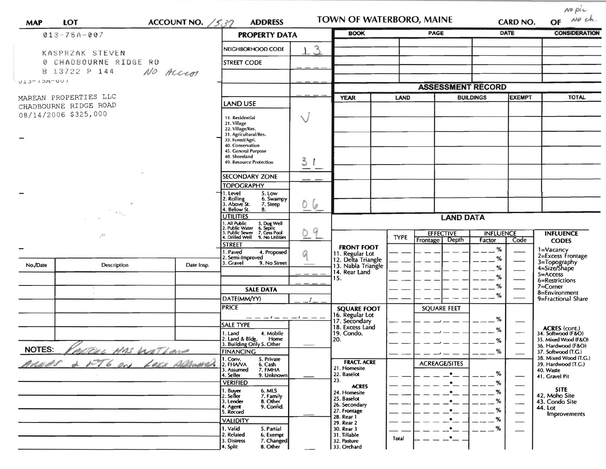| ACCOUNT NO. $/537$<br>LOT<br><b>MAP</b> |                                         |                                                           | <b>ADDRESS</b>                                                                                                            |                                    | TOWN OF WATERBORO, MAINE                                    |                      |                                    | <b>CARD NO.</b>            |                                  | $N^o$ pic<br>No ch.<br>OF                    |
|-----------------------------------------|-----------------------------------------|-----------------------------------------------------------|---------------------------------------------------------------------------------------------------------------------------|------------------------------------|-------------------------------------------------------------|----------------------|------------------------------------|----------------------------|----------------------------------|----------------------------------------------|
|                                         | $013 - 75A - 007$                       | <b>PROPERTY DATA</b>                                      |                                                                                                                           | <b>BOOK</b>                        | <b>PAGE</b>                                                 |                      |                                    | <b>DATE</b>                | <b>CONSIDERATION</b>             |                                              |
|                                         | KASPRZAK STEVEN                         |                                                           | NEIGHBORHOOD CODE                                                                                                         | 3                                  |                                                             |                      |                                    |                            |                                  |                                              |
|                                         | CHADBOURNE RIDGE RD                     |                                                           | <b>STREET CODE</b>                                                                                                        |                                    |                                                             |                      |                                    |                            |                                  |                                              |
|                                         | B 13722 P 144<br>NO Access              |                                                           |                                                                                                                           |                                    |                                                             |                      |                                    |                            |                                  |                                              |
| $1013 - 13A - 001$                      |                                         |                                                           |                                                                                                                           |                                    |                                                             |                      |                                    |                            |                                  |                                              |
|                                         | MAREAN PROPERTIES LLC                   |                                                           |                                                                                                                           | <b>YEAR</b>                        | <b>ASSESSMENT RECORD</b><br>LAND                            |                      | <b>BUILDINGS</b><br><b>EXEMPT</b>  |                            | <b>TOTAL</b>                     |                                              |
|                                         | CHADBOURNE RIDGE ROAD                   | <b>LAND USE</b>                                           |                                                                                                                           |                                    |                                                             |                      |                                    |                            |                                  |                                              |
| 08/14/2006 \$325,000                    |                                         |                                                           | 11. Residential                                                                                                           | Ń                                  |                                                             |                      |                                    |                            |                                  |                                              |
|                                         |                                         |                                                           | 21. Village<br>22. Village/Res.                                                                                           |                                    |                                                             |                      |                                    |                            |                                  |                                              |
|                                         |                                         |                                                           | 31. Agricultural/Res.<br>33. Forest/Agri.                                                                                 |                                    |                                                             |                      |                                    |                            |                                  |                                              |
|                                         |                                         |                                                           | 40. Conservation<br>45. General Purpose                                                                                   |                                    |                                                             |                      |                                    |                            |                                  |                                              |
|                                         |                                         |                                                           | 48. Shoreland<br>49. Resource Protection                                                                                  | 3                                  |                                                             |                      |                                    |                            |                                  |                                              |
|                                         |                                         |                                                           |                                                                                                                           |                                    |                                                             |                      |                                    |                            |                                  |                                              |
|                                         |                                         |                                                           | <b>SECONDARY ZONE</b><br><b>TOPOGRAPHY</b>                                                                                |                                    |                                                             |                      |                                    |                            |                                  |                                              |
|                                         |                                         |                                                           | . Level<br>5. Low                                                                                                         |                                    |                                                             |                      |                                    |                            |                                  |                                              |
|                                         |                                         |                                                           | Rolling<br>Above St.<br>6. Swampy<br>7. Steep                                                                             | 06                                 |                                                             |                      |                                    |                            |                                  |                                              |
|                                         | $\sim$ $\sim$                           | Below St.<br>8.<br><b>UTILITIES</b>                       |                                                                                                                           | <b>LAND DATA</b>                   |                                                             |                      |                                    |                            |                                  |                                              |
|                                         |                                         |                                                           | 1. All Public 5. Dug Well<br>2. Public Water 6. Septic<br>3. Public Sewer 7. Cess Pool<br>4. Drilled Well 9. No Utilities |                                    |                                                             |                      |                                    |                            |                                  |                                              |
|                                         | $\mathcal{L}^{\mathcal{F} \mathcal{F}}$ |                                                           |                                                                                                                           | 9                                  |                                                             | <b>TYPE</b>          | <b>EFFECTIVE</b><br>Frontage Depth | <b>INFLUENCE</b><br>Factor | Code                             | <b>INFLUENCE</b><br><b>CODES</b>             |
|                                         |                                         |                                                           | <b>STREET</b>                                                                                                             |                                    | <b>FRONT FOOT</b>                                           |                      |                                    | $\%$                       |                                  |                                              |
|                                         |                                         |                                                           | 1. Paved<br>4. Proposed<br>2. Semi-Improved                                                                               |                                    | 11. Regular Lot<br>12. Delta Triangle<br>13. Nabla Triangle |                      |                                    | %                          |                                  | 1=Vacancy<br>2=Excess Frontage               |
| No./Date                                | Description                             | Date Insp.                                                | 3. Gravel<br>9. No Street                                                                                                 |                                    | 14. Rear Land                                               |                      |                                    | %                          |                                  | 3=Topography<br>4=Size/Shape                 |
|                                         |                                         |                                                           |                                                                                                                           |                                    | 15.                                                         |                      |                                    | %                          |                                  | $5 =$ Access<br>6=Restrictions               |
|                                         |                                         |                                                           | <b>SALE DATA</b>                                                                                                          |                                    |                                                             |                      |                                    | %<br>%                     |                                  | 7=Corner<br>8=Environment                    |
|                                         |                                         |                                                           | DATE(MM/YY)                                                                                                               |                                    |                                                             |                      |                                    |                            |                                  | 9=Fractional Share                           |
|                                         |                                         |                                                           | <b>PRICE</b>                                                                                                              |                                    | <b>SQUARE FOOT</b><br>16. Regular Lot                       |                      | <b>SQUARE FEET</b>                 |                            |                                  |                                              |
|                                         |                                         |                                                           | <b>SALE TYPE</b>                                                                                                          |                                    | 17. Secondary<br>18. Excess Land                            |                      |                                    | %                          |                                  |                                              |
|                                         |                                         |                                                           | 4. Mobile<br>1. Land                                                                                                      |                                    | 19. Condo.                                                  |                      |                                    | ℅                          |                                  | ACRES (cont.)<br>34. Softwood (F&O)          |
| <b>NOTES:</b>                           |                                         |                                                           | 2. Land & Bldg. Home<br>3. Building Only 5. Other<br>Home                                                                 |                                    | 20.                                                         |                      |                                    | %                          |                                  | 35. Mixed Wood (F&O)<br>36. Hardwood (F&O)   |
|                                         | MAS WETLAND<br><u>tru</u>               |                                                           | <b>FINANCING</b><br>5. Private                                                                                            |                                    |                                                             |                      |                                    | $\%$                       |                                  | 37. Softwood (T.G.)<br>38. Mixed Wood (T.G.) |
|                                         | ARNAS 2 NT6 ON LOCA ADAMNIE             | 1. Conv.<br>2. FHA/VA<br>6. Cash<br>3. Assumed<br>7. FMHA |                                                                                                                           | <b>FRACT. ACRE</b><br>21. Homesite |                                                             | <b>ACREAGE/SITES</b> |                                    |                            | 39. Hardwood (T.G.)<br>40. Waste |                                              |
|                                         |                                         |                                                           | 4. Seller<br>9. Unknown                                                                                                   |                                    | 22. Baselot<br>23.                                          |                      | $\bullet$                          | %                          |                                  | 41. Gravel Pit                               |
|                                         |                                         |                                                           | <b>VERIFIED</b><br>6. MLS<br>1. Buyer                                                                                     |                                    | <b>ACRES</b>                                                |                      | $\bullet$                          | %<br>%                     |                                  | <b>SITE</b>                                  |
|                                         |                                         |                                                           | 2. Seller<br>7. Family<br>8. Other<br>3. Lender                                                                           |                                    | 24. Homesite<br>25. Baselot                                 |                      |                                    | %                          |                                  | 42. Moho Site<br>43. Condo Site              |
|                                         |                                         |                                                           | 9. Confid.<br>4. Agent<br>5. Record                                                                                       |                                    | 26. Secondary<br>27. Frontage                               |                      |                                    | %                          |                                  | 44. Lot                                      |
|                                         |                                         |                                                           | <b>VALIDITY</b>                                                                                                           |                                    | 28. Rear 1<br>29. Rear 2                                    |                      |                                    | %                          | —                                | Improvements                                 |
|                                         |                                         |                                                           | 1. Valid<br>5. Partial<br>2. Related                                                                                      |                                    | 30. Rear 3<br>31. Tillable                                  |                      |                                    | %                          |                                  |                                              |
|                                         |                                         |                                                           | 6. Exempt<br>3. Distress<br>7. Changed                                                                                    |                                    | 32. Pasture                                                 | <b>Total</b>         | ۰                                  |                            |                                  |                                              |